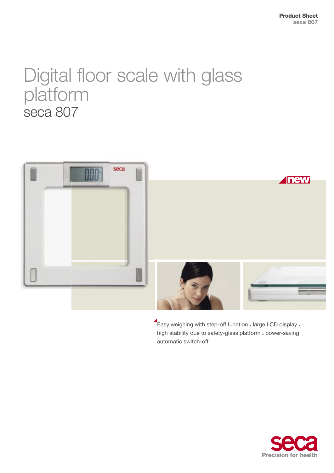# Digital floor scale with glass platform seca 807



Easy weighing with step-off function . large LCD display . high stability due to safety-glass platform . power-saving automatic switch-off